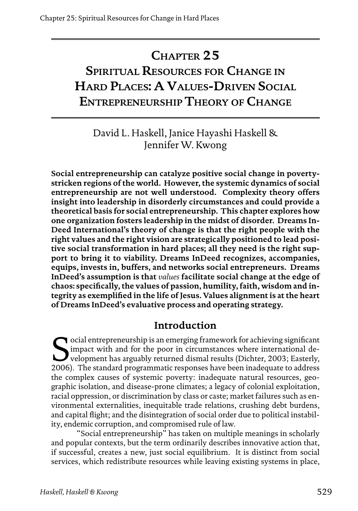# **Chapter 25 Spiritual Resources for Change in Hard Places: A Values-Driven Social Entrepreneurship Theory of Change**

## David L. Haskell, Janice Hayashi Haskell & Jennifer W. Kwong

**Social entrepreneurship can catalyze positive social change in povertystricken regions of the world. However, the systemic dynamics of social entrepreneurship are not well understood. Complexity theory offers insight into leadership in disorderly circumstances and could provide a theoretical basis for social entrepreneurship. This chapter explores how one organization fosters leadership in the midst of disorder. Dreams In-Deed International's theory of change is that the right people with the right values and the right vision are strategically positioned to lead positive social transformation in hard places; all they need is the right support to bring it to viability. Dreams InDeed recognizes, accompanies, equips, invests in, buffers, and networks social entrepreneurs. Dreams InDeed's assumption is that** *values* **facilitate social change at the edge of chaos: specifically, the values of passion, humility, faith, wisdom and integrity as exemplified in the life of Jesus. Values alignment is at the heart of Dreams InDeed's evaluative process and operating strategy.**

## **Introduction**

ocial entrepreneurship is an emerging framework for achieving significant impact with and for the poor in circumstances where international development has arguably returned dismal results (Dichter, 2003; Easterly, 2006). The standard programmatic responses have been inadequate to address the complex causes of systemic poverty: inadequate natural resources, geographic isolation, and disease-prone climates; a legacy of colonial exploitation, racial oppression, or discrimination by class or caste; market failures such as environmental externalities, inequitable trade relations, crushing debt burdens, and capital flight; and the disintegration of social order due to political instability, endemic corruption, and compromised rule of law.

"Social entrepreneurship" has taken on multiple meanings in scholarly and popular contexts, but the term ordinarily describes innovative action that, if successful, creates a new, just social equilibrium. It is distinct from social services, which redistribute resources while leaving existing systems in place,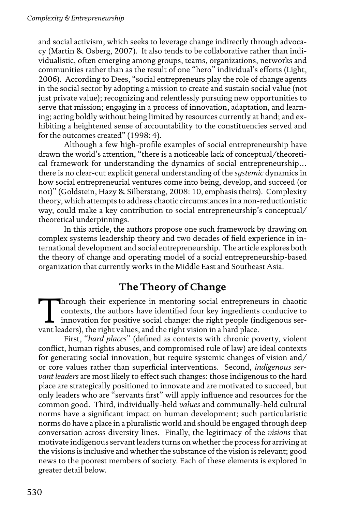and social activism, which seeks to leverage change indirectly through advocacy (Martin & Osberg, 2007). It also tends to be collaborative rather than individualistic, often emerging among groups, teams, organizations, networks and communities rather than as the result of one "hero" individual's efforts (Light, 2006). According to Dees, "social entrepreneurs play the role of change agents in the social sector by adopting a mission to create and sustain social value (not just private value); recognizing and relentlessly pursuing new opportunities to serve that mission; engaging in a process of innovation, adaptation, and learning; acting boldly without being limited by resources currently at hand; and exhibiting a heightened sense of accountability to the constituencies served and for the outcomes created" (1998: 4).

Although a few high-profile examples of social entrepreneurship have drawn the world's attention, "there is a noticeable lack of conceptual/theoretical framework for understanding the dynamics of social entrepreneurship… there is no clear-cut explicit general understanding of the *systemic* dynamics in how social entrepreneurial ventures come into being, develop, and succeed (or not)" (Goldstein, Hazy & Silberstang, 2008: 10, emphasis theirs). Complexity theory, which attempts to address chaotic circumstances in a non-reductionistic way, could make a key contribution to social entrepreneurship's conceptual/ theoretical underpinnings.

In this article, the authors propose one such framework by drawing on complex systems leadership theory and two decades of field experience in international development and social entrepreneurship. The article explores both the theory of change and operating model of a social entrepreneurship-based organization that currently works in the Middle East and Southeast Asia.

## **The Theory of Change**

Through their experience in mentoring social entrepreneurs in chaotic contexts, the authors have identified four key ingredients conducive to innovation for positive social change: the right people (indigenous ser-<br>want le contexts, the authors have identified four key ingredients conducive to vant leaders), the right values, and the right vision in a hard place.

First, "*hard places*" (defined as contexts with chronic poverty, violent conflict, human rights abuses, and compromised rule of law) are ideal contexts for generating social innovation, but require systemic changes of vision and/ or core values rather than superficial interventions. Second, *indigenous servant leaders* are most likely to effect such changes: those indigenous to the hard place are strategically positioned to innovate and are motivated to succeed, but only leaders who are "servants first" will apply influence and resources for the common good. Third, individually-held *values* and communally-held cultural norms have a significant impact on human development; such particularistic norms do have a place in a pluralistic world and should be engaged through deep conversation across diversity lines. Finally, the legitimacy of the *visions* that motivate indigenous servant leaders turns on whether the process for arriving at the visions is inclusive and whether the substance of the vision is relevant; good news to the poorest members of society. Each of these elements is explored in greater detail below.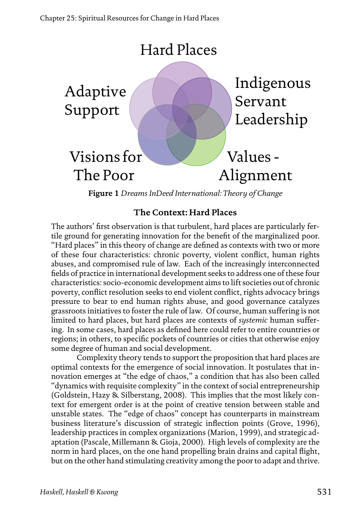

**Figure 1** *Dreams InDeed International: Theory of Change*

## **The Context: Hard Places**

The authors' first observation is that turbulent, hard places are particularly fertile ground for generating innovation for the benefit of the marginalized poor. "Hard places" in this theory of change are defined as contexts with two or more of these four characteristics: chronic poverty, violent conflict, human rights abuses, and compromised rule of law. Each of the increasingly interconnected fields of practice in international development seeks to address one of these four characteristics: socio-economic development aims to lift societies out of chronic poverty, conflict resolution seeks to end violent conflict, rights advocacy brings pressure to bear to end human rights abuse, and good governance catalyzes grassroots initiatives to foster the rule of law. Of course, human suffering is not limited to hard places, but hard places are contexts of *systemic* human suffering. In some cases, hard places as defined here could refer to entire countries or regions; in others, to specific pockets of countries or cities that otherwise enjoy some degree of human and social development.

Complexity theory tends to support the proposition that hard places are optimal contexts for the emergence of social innovation. It postulates that innovation emerges at "the edge of chaos," a condition that has also been called "dynamics with requisite complexity" in the context of social entrepreneurship (Goldstein, Hazy & Silberstang, 2008). This implies that the most likely context for emergent order is at the point of creative tension between stable and unstable states. The "edge of chaos" concept has counterparts in mainstream business literature's discussion of strategic inflection points (Grove, 1996), leadership practices in complex organizations (Marion, 1999), and strategic adaptation (Pascale, Millemann & Gioja, 2000). High levels of complexity are the norm in hard places, on the one hand propelling brain drains and capital flight, but on the other hand stimulating creativity among the poor to adapt and thrive.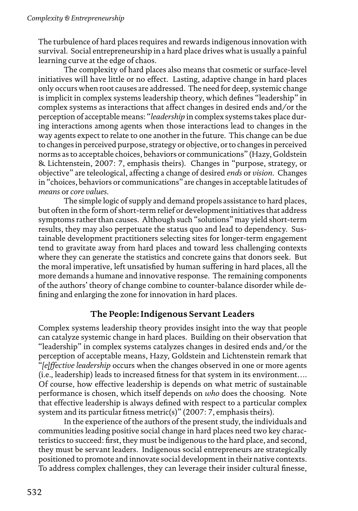The turbulence of hard places requires and rewards indigenous innovation with survival. Social entrepreneurship in a hard place drives what is usually a painful learning curve at the edge of chaos.

The complexity of hard places also means that cosmetic or surface-level initiatives will have little or no effect. Lasting, adaptive change in hard places only occurs when root causes are addressed. The need for deep, systemic change is implicit in complex systems leadership theory, which defines "leadership" in complex systems as interactions that affect changes in desired ends and/or the perception of acceptable means: "*leadership* in complex systems takes place during interactions among agents when those interactions lead to changes in the way agents expect to relate to one another in the future. This change can be due to changes in perceived purpose, strategy or objective, or to changes in perceived norms as to acceptable choices, behaviors or communications" (Hazy, Goldstein & Lichtenstein, 2007: 7, emphasis theirs). Changes in "purpose, strategy, or objective" are teleological, affecting a change of desired *ends* or *vision*. Changes in "choices, behaviors or communications" are changes in acceptable latitudes of *means* or *core values*.

The simple logic of supply and demand propels assistance to hard places, but often in the form of short-term relief or development initiatives that address symptoms rather than causes. Although such "solutions" may yield short-term results, they may also perpetuate the status quo and lead to dependency. Sustainable development practitioners selecting sites for longer-term engagement tend to gravitate away from hard places and toward less challenging contexts where they can generate the statistics and concrete gains that donors seek. But the moral imperative, left unsatisfied by human suffering in hard places, all the more demands a humane and innovative response. The remaining components of the authors' theory of change combine to counter-balance disorder while defining and enlarging the zone for innovation in hard places.

#### **The People: Indigenous Servant Leaders**

Complex systems leadership theory provides insight into the way that people can catalyze systemic change in hard places. Building on their observation that "leadership" in complex systems catalyzes changes in desired ends and/or the perception of acceptable means, Hazy, Goldstein and Lichtenstein remark that "*[e]ffective leadership* occurs when the changes observed in one or more agents (i.e., leadership) leads to increased fitness for that system in its environment…. Of course, how effective leadership is depends on what metric of sustainable performance is chosen, which itself depends on *who* does the choosing. Note that effective leadership is always defined with respect to a particular complex system and its particular fitness metric(s)" (2007: 7, emphasis theirs).

In the experience of the authors of the present study, the individuals and communities leading positive social change in hard places need two key characteristics to succeed: first, they must be indigenous to the hard place, and second, they must be servant leaders. Indigenous social entrepreneurs are strategically positioned to promote and innovate social development in their native contexts. To address complex challenges, they can leverage their insider cultural finesse,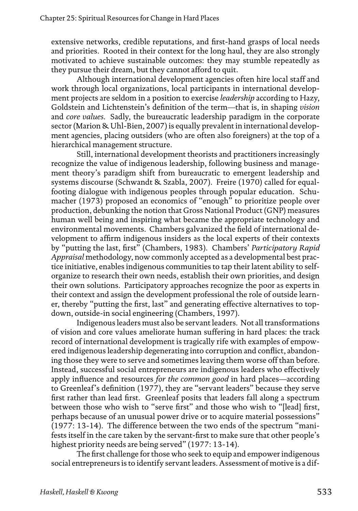extensive networks, credible reputations, and first-hand grasps of local needs and priorities. Rooted in their context for the long haul, they are also strongly motivated to achieve sustainable outcomes: they may stumble repeatedly as they pursue their dream, but they cannot afford to quit.

Although international development agencies often hire local staff and work through local organizations, local participants in international development projects are seldom in a position to exercise *leadership* according to Hazy, Goldstein and Lichtenstein's definition of the term—that is, in shaping *vision* and *core values*. Sadly, the bureaucratic leadership paradigm in the corporate sector (Marion & Uhl-Bien, 2007) is equally prevalent in international development agencies, placing outsiders (who are often also foreigners) at the top of a hierarchical management structure.

Still, international development theorists and practitioners increasingly recognize the value of indigenous leadership, following business and management theory's paradigm shift from bureaucratic to emergent leadership and systems discourse (Schwandt & Szabla, 2007). Freire (1970) called for equalfooting dialogue with indigenous peoples through popular education. Schumacher (1973) proposed an economics of "enough" to prioritize people over production, debunking the notion that Gross National Product (GNP) measures human well being and inspiring what became the appropriate technology and environmental movements. Chambers galvanized the field of international development to affirm indigenous insiders as the local experts of their contexts by "putting the last, first" (Chambers, 1983). Chambers' *Participatory Rapid Appraisal* methodology, now commonly accepted as a developmental best practice initiative, enables indigenous communities to tap their latent ability to selforganize to research their own needs, establish their own priorities, and design their own solutions. Participatory approaches recognize the poor as experts in their context and assign the development professional the role of outside learner, thereby "putting the first, last" and generating effective alternatives to topdown, outside-in social engineering (Chambers, 1997).

Indigenous leaders must also be servant leaders. Not all transformations of vision and core values ameliorate human suffering in hard places: the track record of international development is tragically rife with examples of empowered indigenous leadership degenerating into corruption and conflict, abandoning those they were to serve and sometimes leaving them worse off than before. Instead, successful social entrepreneurs are indigenous leaders who effectively apply influence and resources *for the common good* in hard places—according to Greenleaf's definition (1977), they are "servant leaders" because they serve first rather than lead first. Greenleaf posits that leaders fall along a spectrum between those who wish to "serve first" and those who wish to "[lead] first, perhaps because of an unusual power drive or to acquire material possessions" (1977: 13-14). The difference between the two ends of the spectrum "manifests itself in the care taken by the servant-first to make sure that other people's highest priority needs are being served" (1977: 13-14).

The first challenge for those who seek to equip and empower indigenous social entrepreneurs is to identify servant leaders. Assessment of motive is a dif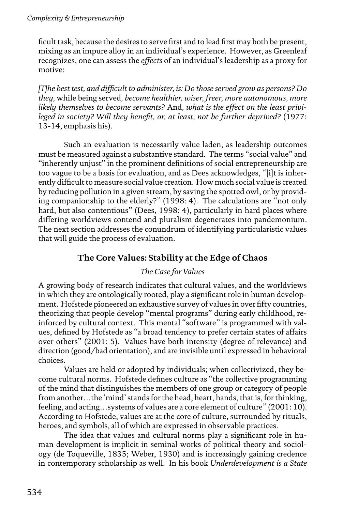ficult task, because the desires to serve first and to lead first may both be present, mixing as an impure alloy in an individual's experience. However, as Greenleaf recognizes, one can assess the *effects* of an individual's leadership as a proxy for motive:

*[T]he best test, and difficult to administer, is: Do those served grow as persons? Do they,* while being served*, become healthier, wiser, freer, more autonomous, more likely themselves to become servants?* And*, what is the effect on the least privileged in society? Will they benefit, or, at least, not be further deprived?* (1977: 13-14, emphasis his).

Such an evaluation is necessarily value laden, as leadership outcomes must be measured against a substantive standard. The terms "social value" and "inherently unjust" in the prominent definitions of social entrepreneurship are too vague to be a basis for evaluation, and as Dees acknowledges, "[i]t is inherently difficult to measure social value creation. How much social value is created by reducing pollution in a given stream, by saving the spotted owl, or by providing companionship to the elderly?" (1998: 4). The calculations are "not only hard, but also contentious" (Dees, 1998: 4), particularly in hard places where differing worldviews contend and pluralism degenerates into pandemonium. The next section addresses the conundrum of identifying particularistic values that will guide the process of evaluation.

## **The Core Values: Stability at the Edge of Chaos**

## *The Case for Values*

A growing body of research indicates that cultural values, and the worldviews in which they are ontologically rooted, play a significant role in human development. Hofstede pioneered an exhaustive survey of values in over fifty countries, theorizing that people develop "mental programs" during early childhood, reinforced by cultural context. This mental "software" is programmed with values, defined by Hofstede as "a broad tendency to prefer certain states of affairs over others" (2001: 5). Values have both intensity (degree of relevance) and direction (good/bad orientation), and are invisible until expressed in behavioral choices.

Values are held or adopted by individuals; when collectivized, they become cultural norms. Hofstede defines culture as "the collective programming of the mind that distinguishes the members of one group or category of people from another…the 'mind' stands for the head, heart, hands, that is, for thinking, feeling, and acting…systems of values are a core element of culture" (2001: 10). According to Hofstede, values are at the core of culture, surrounded by rituals, heroes, and symbols, all of which are expressed in observable practices.

The idea that values and cultural norms play a significant role in human development is implicit in seminal works of political theory and sociology (de Toqueville, 1835; Weber, 1930) and is increasingly gaining credence in contemporary scholarship as well. In his book *Underdevelopment is a State*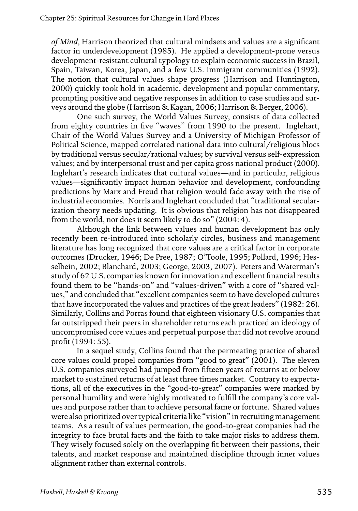*of Mind*, Harrison theorized that cultural mindsets and values are a significant factor in underdevelopment (1985). He applied a development-prone versus development-resistant cultural typology to explain economic success in Brazil, Spain, Taiwan, Korea, Japan, and a few U.S. immigrant communities (1992). The notion that cultural values shape progress (Harrison and Huntington, 2000) quickly took hold in academic, development and popular commentary, prompting positive and negative responses in addition to case studies and surveys around the globe (Harrison & Kagan, 2006; Harrison & Berger, 2006).

One such survey, the World Values Survey, consists of data collected from eighty countries in five "waves" from 1990 to the present. Inglehart, Chair of the World Values Survey and a University of Michigan Professor of Political Science, mapped correlated national data into cultural/religious blocs by traditional versus secular/rational values; by survival versus self-expression values; and by interpersonal trust and per capita gross national product (2000). Inglehart's research indicates that cultural values—and in particular, religious values—significantly impact human behavior and development, confounding predictions by Marx and Freud that religion would fade away with the rise of industrial economies. Norris and Inglehart concluded that "traditional secularization theory needs updating. It is obvious that religion has not disappeared from the world, nor does it seem likely to do so" (2004: 4).

Although the link between values and human development has only recently been re-introduced into scholarly circles, business and management literature has long recognized that core values are a critical factor in corporate outcomes (Drucker, 1946; De Pree, 1987; O'Toole, 1995; Pollard, 1996; Hesselbein, 2002; Blanchard, 2003; George, 2003, 2007). Peters and Waterman's study of 62 U.S. companies known for innovation and excellent financial results found them to be "hands-on" and "values-driven" with a core of "shared values," and concluded that "excellent companies seem to have developed cultures that have incorporated the values and practices of the great leaders" (1982: 26). Similarly, Collins and Porras found that eighteen visionary U.S. companies that far outstripped their peers in shareholder returns each practiced an ideology of uncompromised core values and perpetual purpose that did not revolve around profit (1994: 55).

In a sequel study, Collins found that the permeating practice of shared core values could propel companies from "good to great" (2001). The eleven U.S. companies surveyed had jumped from fifteen years of returns at or below market to sustained returns of at least three times market. Contrary to expectations, all of the executives in the "good-to-great" companies were marked by personal humility and were highly motivated to fulfill the company's core values and purpose rather than to achieve personal fame or fortune. Shared values were also prioritized over typical criteria like "vision" in recruiting management teams. As a result of values permeation, the good-to-great companies had the integrity to face brutal facts and the faith to take major risks to address them. They wisely focused solely on the overlapping fit between their passions, their talents, and market response and maintained discipline through inner values alignment rather than external controls.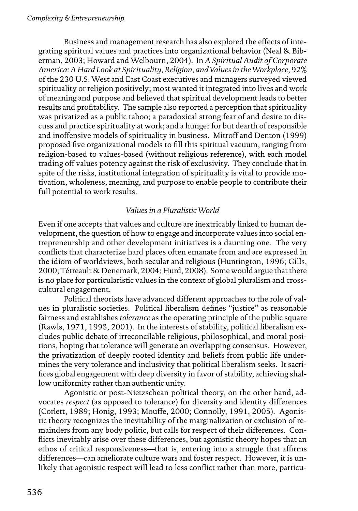Business and management research has also explored the effects of integrating spiritual values and practices into organizational behavior (Neal & Biberman, 2003; Howard and Welbourn, 2004). In *A Spiritual Audit of Corporate America: A Hard Look at Spirituality, Religion, and Values in the Workplace*, 92% of the 230 U.S. West and East Coast executives and managers surveyed viewed spirituality or religion positively; most wanted it integrated into lives and work of meaning and purpose and believed that spiritual development leads to better results and profitability. The sample also reported a perception that spirituality was privatized as a public taboo; a paradoxical strong fear of and desire to discuss and practice spirituality at work; and a hunger for but dearth of responsible and inoffensive models of spirituality in business. Mitroff and Denton (1999) proposed five organizational models to fill this spiritual vacuum, ranging from religion-based to values-based (without religious reference), with each model trading off values potency against the risk of exclusivity. They conclude that in spite of the risks, institutional integration of spirituality is vital to provide motivation, wholeness, meaning, and purpose to enable people to contribute their full potential to work results.

#### *Values in a Pluralistic World*

Even if one accepts that values and culture are inextricably linked to human development, the question of how to engage and incorporate values into social entrepreneurship and other development initiatives is a daunting one. The very conflicts that characterize hard places often emanate from and are expressed in the idiom of worldviews, both secular and religious (Huntington, 1996; Gills, 2000; Tétreault & Denemark, 2004; Hurd, 2008). Some would argue that there is no place for particularistic values in the context of global pluralism and crosscultural engagement.

Political theorists have advanced different approaches to the role of values in pluralistic societies. Political liberalism defines "justice" as reasonable fairness and establishes *tolerance* as the operating principle of the public square (Rawls, 1971, 1993, 2001). In the interests of stability, political liberalism excludes public debate of irreconcilable religious, philosophical, and moral positions, hoping that tolerance will generate an overlapping consensus. However, the privatization of deeply rooted identity and beliefs from public life undermines the very tolerance and inclusivity that political liberalism seeks. It sacrifices global engagement with deep diversity in favor of stability, achieving shallow uniformity rather than authentic unity.

Agonistic or post-Nietzschean political theory, on the other hand, advocates *respect* (as opposed to tolerance) for diversity and identity differences (Corlett, 1989; Honig, 1993; Mouffe, 2000; Connolly, 1991, 2005). Agonistic theory recognizes the inevitability of the marginalization or exclusion of remainders from any body politic, but calls for respect of their differences. Conflicts inevitably arise over these differences, but agonistic theory hopes that an ethos of critical responsiveness—that is, entering into a struggle that affirms differences—can ameliorate culture wars and foster respect. However, it is unlikely that agonistic respect will lead to less conflict rather than more, particu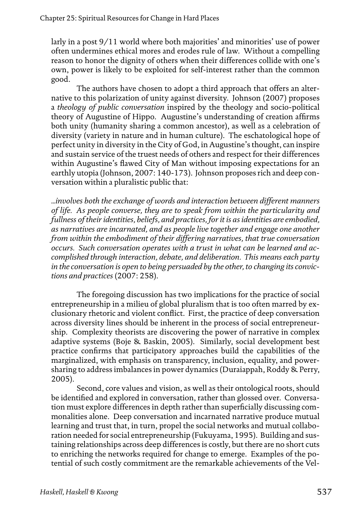larly in a post 9/11 world where both majorities' and minorities' use of power often undermines ethical mores and erodes rule of law. Without a compelling reason to honor the dignity of others when their differences collide with one's own, power is likely to be exploited for self-interest rather than the common good.

The authors have chosen to adopt a third approach that offers an alternative to this polarization of unity against diversity. Johnson (2007) proposes a *theology of public conversation* inspired by the theology and socio-political theory of Augustine of Hippo. Augustine's understanding of creation affirms both unity (humanity sharing a common ancestor), as well as a celebration of diversity (variety in nature and in human culture). The eschatological hope of perfect unity in diversity in the City of God, in Augustine's thought, can inspire and sustain service of the truest needs of others and respect for their differences within Augustine's flawed City of Man without imposing expectations for an earthly utopia (Johnson, 2007: 140-173). Johnson proposes rich and deep conversation within a pluralistic public that:

*...involves both the exchange of words and interaction between different manners of life. As people converse, they are to speak from within the particularity and fullness of their identities, beliefs, and practices, for it is as identities are embodied, as narratives are incarnated, and as people live together and engage one another from within the embodiment of their differing narratives, that true conversation occurs. Such conversation operates with a trust in what can be learned and accomplished through interaction, debate, and deliberation. This means each party in the conversation is open to being persuaded by the other, to changing its convictions and practices* (2007: 258).

The foregoing discussion has two implications for the practice of social entrepreneurship in a milieu of global pluralism that is too often marred by exclusionary rhetoric and violent conflict. First, the practice of deep conversation across diversity lines should be inherent in the process of social entrepreneurship. Complexity theorists are discovering the power of narrative in complex adaptive systems (Boje & Baskin, 2005). Similarly, social development best practice confirms that participatory approaches build the capabilities of the marginalized, with emphasis on transparency, inclusion, equality, and powersharing to address imbalances in power dynamics (Duraiappah, Roddy & Perry, 2005).

Second, core values and vision, as well as their ontological roots, should be identified and explored in conversation, rather than glossed over. Conversation must explore differences in depth rather than superficially discussing commonalities alone. Deep conversation and incarnated narrative produce mutual learning and trust that, in turn, propel the social networks and mutual collaboration needed for social entrepreneurship (Fukuyama, 1995). Building and sustaining relationships across deep differences is costly, but there are no short cuts to enriching the networks required for change to emerge. Examples of the potential of such costly commitment are the remarkable achievements of the Vel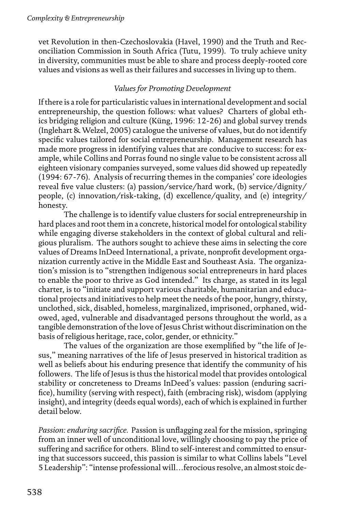vet Revolution in then-Czechoslovakia (Havel, 1990) and the Truth and Reconciliation Commission in South Africa (Tutu, 1999). To truly achieve unity in diversity, communities must be able to share and process deeply-rooted core values and visions as well as their failures and successes in living up to them.

#### *Values for Promoting Development*

If there is a role for particularistic values in international development and social entrepreneurship, the question follows: what values? Charters of global ethics bridging religion and culture (Küng, 1996: 12-26) and global survey trends (Inglehart & Welzel, 2005) catalogue the universe of values, but do not identify specific values tailored for social entrepreneurship. Management research has made more progress in identifying values that are conducive to success: for example, while Collins and Porras found no single value to be consistent across all eighteen visionary companies surveyed, some values did showed up repeatedly (1994: 67-76). Analysis of recurring themes in the companies' core ideologies reveal five value clusters: (a) passion/service/hard work, (b) service/dignity/ people, (c) innovation/risk-taking, (d) excellence/quality, and (e) integrity/ honesty.

The challenge is to identify value clusters for social entrepreneurship in hard places and root them in a concrete, historical model for ontological stability while engaging diverse stakeholders in the context of global cultural and religious pluralism. The authors sought to achieve these aims in selecting the core values of Dreams InDeed International, a private, nonprofit development organization currently active in the Middle East and Southeast Asia. The organization's mission is to "strengthen indigenous social entrepreneurs in hard places to enable the poor to thrive as God intended." Its charge, as stated in its legal charter, is to "initiate and support various charitable, humanitarian and educational projects and initiatives to help meet the needs of the poor, hungry, thirsty, unclothed, sick, disabled, homeless, marginalized, imprisoned, orphaned, widowed, aged, vulnerable and disadvantaged persons throughout the world, as a tangible demonstration of the love of Jesus Christ without discrimination on the basis of religious heritage, race, color, gender, or ethnicity."

The values of the organization are those exemplified by "the life of Jesus," meaning narratives of the life of Jesus preserved in historical tradition as well as beliefs about his enduring presence that identify the community of his followers. The life of Jesus is thus the historical model that provides ontological stability or concreteness to Dreams InDeed's values: passion (enduring sacrifice), humility (serving with respect), faith (embracing risk), wisdom (applying insight), and integrity (deeds equal words), each of which is explained in further detail below.

*Passion: enduring sacrifice.* Passion is unflagging zeal for the mission, springing from an inner well of unconditional love, willingly choosing to pay the price of suffering and sacrifice for others. Blind to self-interest and committed to ensuring that successors succeed, this passion is similar to what Collins labels "Level 5 Leadership": "intense professional will…ferocious resolve, an almost stoic de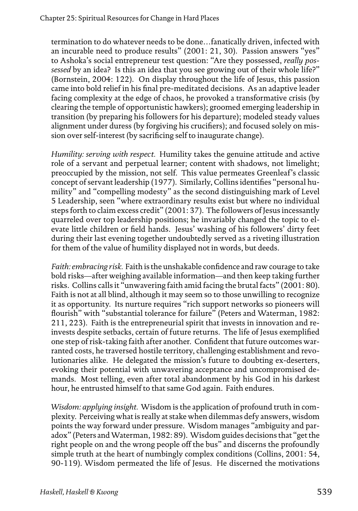termination to do whatever needs to be done…fanatically driven, infected with an incurable need to produce results" (2001: 21, 30). Passion answers "yes" to Ashoka's social entrepreneur test question: "Are they possessed, *really possessed* by an idea? Is this an idea that you see growing out of their whole life?" (Bornstein, 2004: 122). On display throughout the life of Jesus, this passion came into bold relief in his final pre-meditated decisions. As an adaptive leader facing complexity at the edge of chaos, he provoked a transformative crisis (by clearing the temple of opportunistic hawkers); groomed emerging leadership in transition (by preparing his followers for his departure); modeled steady values alignment under duress (by forgiving his crucifiers); and focused solely on mission over self-interest (by sacrificing self to inaugurate change).

*Humility: serving with respect.* Humility takes the genuine attitude and active role of a servant and perpetual learner; content with shadows, not limelight; preoccupied by the mission, not self. This value permeates Greenleaf's classic concept of servant leadership (1977). Similarly, Collins identifies "personal humility" and "compelling modesty" as the second distinguishing mark of Level 5 Leadership, seen "where extraordinary results exist but where no individual steps forth to claim excess credit" (2001: 37). The followers of Jesus incessantly quarreled over top leadership positions; he invariably changed the topic to elevate little children or field hands. Jesus' washing of his followers' dirty feet during their last evening together undoubtedly served as a riveting illustration for them of the value of humility displayed not in words, but deeds.

*Faith: embracing risk.* Faith is the unshakable confidence and raw courage to take bold risks—after weighing available information—and then keep taking further risks. Collins calls it "unwavering faith amid facing the brutal facts" (2001: 80). Faith is not at all blind, although it may seem so to those unwilling to recognize it as opportunity. Its nurture requires "rich support networks so pioneers will flourish" with "substantial tolerance for failure" (Peters and Waterman, 1982: 211, 223). Faith is the entrepreneurial spirit that invests in innovation and reinvests despite setbacks, certain of future returns. The life of Jesus exemplified one step of risk-taking faith after another. Confident that future outcomes warranted costs, he traversed hostile territory, challenging establishment and revolutionaries alike. He delegated the mission's future to doubting ex-deserters, evoking their potential with unwavering acceptance and uncompromised demands. Most telling, even after total abandonment by his God in his darkest hour, he entrusted himself to that same God again. Faith endures.

*Wisdom: applying insight.* Wisdom is the application of profound truth in complexity. Perceiving what is really at stake when dilemmas defy answers, wisdom points the way forward under pressure. Wisdom manages "ambiguity and paradox" (Peters and Waterman, 1982: 89). Wisdom guides decisions that "get the right people on and the wrong people off the bus" and discerns the profoundly simple truth at the heart of numbingly complex conditions (Collins, 2001: 54, 90-119). Wisdom permeated the life of Jesus. He discerned the motivations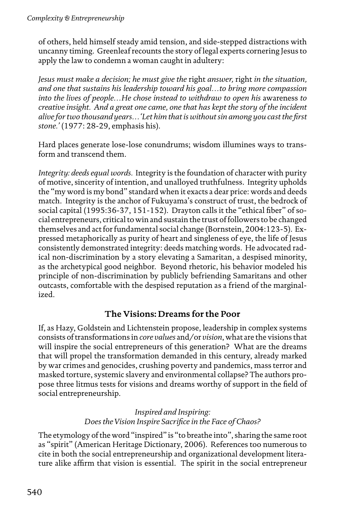of others, held himself steady amid tension, and side-stepped distractions with uncanny timing. Greenleaf recounts the story of legal experts cornering Jesus to apply the law to condemn a woman caught in adultery:

*Jesus must make a decision; he must give the* right *answer,* right *in the situation, and one that sustains his leadership toward his goal…to bring more compassion into the lives of people…He chose instead to withdraw to open his* awareness *to creative insight. And a great one came, one that has kept the story of the incident alive for two thousand years…'Let him that is without sin among you cast the first stone.'* (1977: 28-29, emphasis his).

Hard places generate lose-lose conundrums; wisdom illumines ways to transform and transcend them.

*Integrity: deeds equal words.* Integrity is the foundation of character with purity of motive, sincerity of intention, and unalloyed truthfulness. Integrity upholds the "my word is my bond" standard when it exacts a dear price: words and deeds match. Integrity is the anchor of Fukuyama's construct of trust, the bedrock of social capital (1995:36-37, 151-152). Drayton calls it the "ethical fiber" of social entrepreneurs, critical to win and sustain the trust of followers to be changed themselves and act for fundamental social change (Bornstein, 2004:123-5). Expressed metaphorically as purity of heart and singleness of eye, the life of Jesus consistently demonstrated integrity: deeds matching words. He advocated radical non-discrimination by a story elevating a Samaritan, a despised minority, as the archetypical good neighbor. Beyond rhetoric, his behavior modeled his principle of non-discrimination by publicly befriending Samaritans and other outcasts, comfortable with the despised reputation as a friend of the marginalized.

### **The Visions: Dreams for the Poor**

If, as Hazy, Goldstein and Lichtenstein propose, leadership in complex systems consists of transformations in *core values* and/or *vision*, what are the visions that will inspire the social entrepreneurs of this generation? What are the dreams that will propel the transformation demanded in this century, already marked by war crimes and genocides, crushing poverty and pandemics, mass terror and masked torture, systemic slavery and environmental collapse? The authors propose three litmus tests for visions and dreams worthy of support in the field of social entrepreneurship.

> *Inspired and Inspiring: Does the Vision Inspire Sacrifice in the Face of Chaos?*

The etymology of the word "inspired" is "to breathe into", sharing the same root as "spirit" (American Heritage Dictionary, 2006). References too numerous to cite in both the social entrepreneurship and organizational development literature alike affirm that vision is essential. The spirit in the social entrepreneur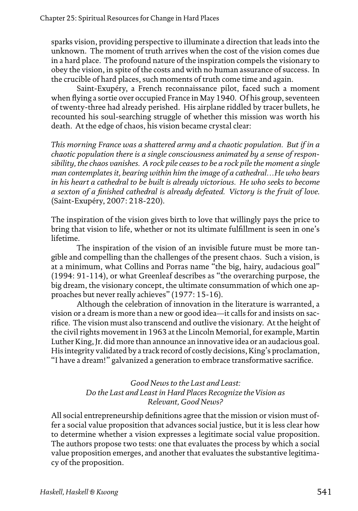sparks vision, providing perspective to illuminate a direction that leads into the unknown. The moment of truth arrives when the cost of the vision comes due in a hard place. The profound nature of the inspiration compels the visionary to obey the vision, in spite of the costs and with no human assurance of success. In the crucible of hard places, such moments of truth come time and again.

Saint-Exupéry, a French reconnaissance pilot, faced such a moment when flying a sortie over occupied France in May 1940. Of his group, seventeen of twenty-three had already perished. His airplane riddled by tracer bullets, he recounted his soul-searching struggle of whether this mission was worth his death. At the edge of chaos, his vision became crystal clear:

*This morning France was a shattered army and a chaotic population. But if in a chaotic population there is a single consciousness animated by a sense of responsibility, the chaos vanishes. A rock pile ceases to be a rock pile the moment a single man contemplates it, bearing within him the image of a cathedral…He who bears in his heart a cathedral to be built is already victorious. He who seeks to become a sexton of a finished cathedral is already defeated. Victory is the fruit of love*. (Saint-Exupéry, 2007: 218-220).

The inspiration of the vision gives birth to love that willingly pays the price to bring that vision to life, whether or not its ultimate fulfillment is seen in one's lifetime.

The inspiration of the vision of an invisible future must be more tangible and compelling than the challenges of the present chaos. Such a vision, is at a minimum, what Collins and Porras name "the big, hairy, audacious goal" (1994: 91-114), or what Greenleaf describes as "the overarching purpose, the big dream, the visionary concept, the ultimate consummation of which one approaches but never really achieves" (1977: 15-16).

Although the celebration of innovation in the literature is warranted, a vision or a dream is more than a new or good idea—it calls for and insists on sacrifice. The vision must also transcend and outlive the visionary. At the height of the civil rights movement in 1963 at the Lincoln Memorial, for example, Martin Luther King, Jr. did more than announce an innovative idea or an audacious goal. His integrity validated by a track record of costly decisions, King's proclamation, "I have a dream!" galvanized a generation to embrace transformative sacrifice.

#### *Good News to the Last and Least: Do the Last and Least in Hard Places Recognize the Vision as Relevant, Good News?*

All social entrepreneurship definitions agree that the mission or vision must offer a social value proposition that advances social justice, but it is less clear how to determine whether a vision expresses a legitimate social value proposition. The authors propose two tests: one that evaluates the process by which a social value proposition emerges, and another that evaluates the substantive legitimacy of the proposition.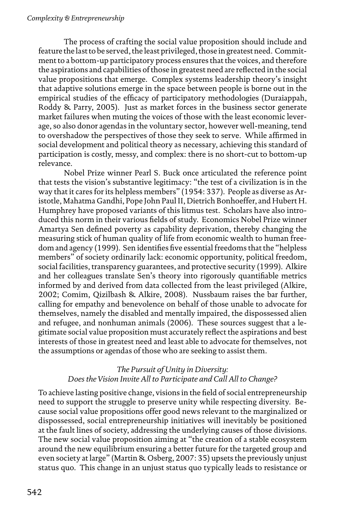The process of crafting the social value proposition should include and feature the last to be served, the least privileged, those in greatest need. Commitment to a bottom-up participatory process ensures that the voices, and therefore the aspirations and capabilities of those in greatest need are reflected in the social value propositions that emerge. Complex systems leadership theory's insight that adaptive solutions emerge in the space between people is borne out in the empirical studies of the efficacy of participatory methodologies (Duraiappah, Roddy & Parry, 2005). Just as market forces in the business sector generate market failures when muting the voices of those with the least economic leverage, so also donor agendas in the voluntary sector, however well-meaning, tend to overshadow the perspectives of those they seek to serve. While affirmed in social development and political theory as necessary, achieving this standard of participation is costly, messy, and complex: there is no short-cut to bottom-up relevance.

Nobel Prize winner Pearl S. Buck once articulated the reference point that tests the vision's substantive legitimacy: "the test of a civilization is in the way that it cares for its helpless members" (1954: 337). People as diverse as Aristotle, Mahatma Gandhi, Pope John Paul II, Dietrich Bonhoeffer, and Hubert H. Humphrey have proposed variants of this litmus test. Scholars have also introduced this norm in their various fields of study. Economics Nobel Prize winner Amartya Sen defined poverty as capability deprivation, thereby changing the measuring stick of human quality of life from economic wealth to human freedom and agency (1999). Sen identifies five essential freedoms that the "helpless members" of society ordinarily lack: economic opportunity, political freedom, social facilities, transparency guarantees, and protective security (1999). Alkire and her colleagues translate Sen's theory into rigorously quantifiable metrics informed by and derived from data collected from the least privileged (Alkire, 2002; Comim, Qizilbash & Alkire, 2008). Nussbaum raises the bar further, calling for empathy and benevolence on behalf of those unable to advocate for themselves, namely the disabled and mentally impaired, the dispossessed alien and refugee, and nonhuman animals (2006). These sources suggest that a legitimate social value proposition must accurately reflect the aspirations and best interests of those in greatest need and least able to advocate for themselves, not the assumptions or agendas of those who are seeking to assist them.

### *The Pursuit of Unity in Diversity: Does the Vision Invite All to Participate and Call All to Change?*

To achieve lasting positive change, visions in the field of social entrepreneurship need to support the struggle to preserve unity while respecting diversity. Because social value propositions offer good news relevant to the marginalized or dispossessed, social entrepreneurship initiatives will inevitably be positioned at the fault lines of society, addressing the underlying causes of those divisions. The new social value proposition aiming at "the creation of a stable ecosystem around the new equilibrium ensuring a better future for the targeted group and even society at large" (Martin & Osberg, 2007: 35) upsets the previously unjust status quo. This change in an unjust status quo typically leads to resistance or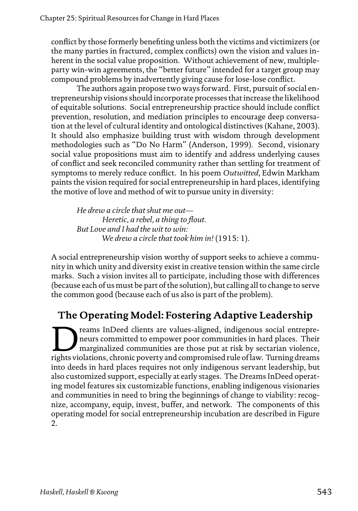conflict by those formerly benefiting unless both the victims and victimizers (or the many parties in fractured, complex conflicts) own the vision and values inherent in the social value proposition. Without achievement of new, multipleparty win-win agreements, the "better future" intended for a target group may compound problems by inadvertently giving cause for lose-lose conflict.

The authors again propose two ways forward. First, pursuit of social entrepreneurship visions should incorporate processes that increase the likelihood of equitable solutions. Social entrepreneurship practice should include conflict prevention, resolution, and mediation principles to encourage deep conversation at the level of cultural identity and ontological distinctives (Kahane, 2003). It should also emphasize building trust with wisdom through development methodologies such as "Do No Harm" (Anderson, 1999). Second, visionary social value propositions must aim to identify and address underlying causes of conflict and seek reconciled community rather than settling for treatment of symptoms to merely reduce conflict. In his poem *Outwitted*, Edwin Markham paints the vision required for social entrepreneurship in hard places, identifying the motive of love and method of wit to pursue unity in diversity:

*He drew a circle that shut me out— Heretic, a rebel, a thing to flout. But Love and I had the wit to win: We drew a circle that took him in!* (1915: 1).

A social entrepreneurship vision worthy of support seeks to achieve a community in which unity and diversity exist in creative tension within the same circle marks. Such a vision invites all to participate, including those with differences (because each of us must be part of the solution), but calling all to change to serve the common good (because each of us also is part of the problem).

## **The Operating Model: Fostering Adaptive Leadership**

reams InDeed clients are values-aligned, indigenous social entrepreneurs committed to empower poor communities in hard places. Their marginalized communities are those put at risk by sectarian violence, rights violations, chronic poverty and compromised rule of law. Turning dreams into deeds in hard places requires not only indigenous servant leadership, but also customized support, especially at early stages. The Dreams InDeed operating model features six customizable functions, enabling indigenous visionaries and communities in need to bring the beginnings of change to viability: recognize, accompany, equip, invest, buffer, and network. The components of this operating model for social entrepreneurship incubation are described in Figure 2.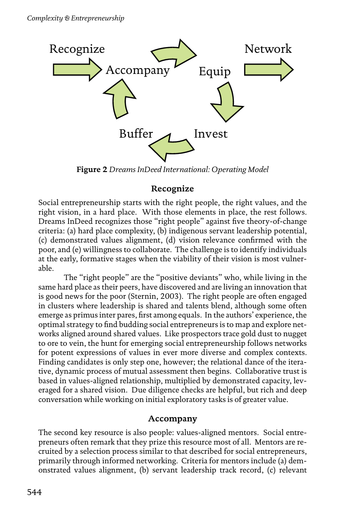

**Figure 2** *Dreams InDeed International: Operating Model*

## **Recognize**

Social entrepreneurship starts with the right people, the right values, and the right vision, in a hard place. With those elements in place, the rest follows. Dreams InDeed recognizes those "right people" against five theory-of-change criteria: (a) hard place complexity, (b) indigenous servant leadership potential, (c) demonstrated values alignment, (d) vision relevance confirmed with the poor, and (e) willingness to collaborate. The challenge is to identify individuals at the early, formative stages when the viability of their vision is most vulnerable.

The "right people" are the "positive deviants" who, while living in the same hard place as their peers, have discovered and are living an innovation that is good news for the poor (Sternin, 2003). The right people are often engaged in clusters where leadership is shared and talents blend, although some often emerge as primus inter pares, first among equals. In the authors' experience, the optimal strategy to find budding social entrepreneurs is to map and explore networks aligned around shared values. Like prospectors trace gold dust to nugget to ore to vein, the hunt for emerging social entrepreneurship follows networks for potent expressions of values in ever more diverse and complex contexts. Finding candidates is only step one, however; the relational dance of the iterative, dynamic process of mutual assessment then begins. Collaborative trust is based in values-aligned relationship, multiplied by demonstrated capacity, leveraged for a shared vision. Due diligence checks are helpful, but rich and deep conversation while working on initial exploratory tasks is of greater value.

### **Accompany**

The second key resource is also people: values-aligned mentors. Social entrepreneurs often remark that they prize this resource most of all. Mentors are recruited by a selection process similar to that described for social entrepreneurs, primarily through informed networking. Criteria for mentors include (a) demonstrated values alignment, (b) servant leadership track record, (c) relevant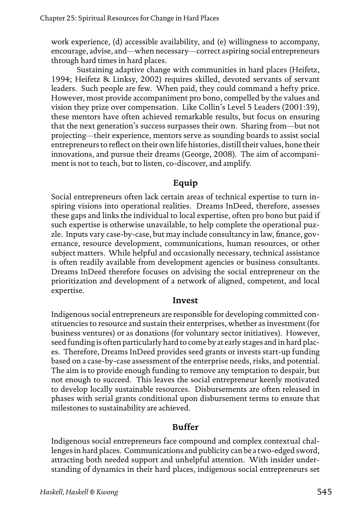work experience, (d) accessible availability, and (e) willingness to accompany, encourage, advise, and—when necessary—correct aspiring social entrepreneurs through hard times in hard places.

Sustaining adaptive change with communities in hard places (Heifetz, 1994; Heifetz & Linksy, 2002) requires skilled, devoted servants of servant leaders. Such people are few. When paid, they could command a hefty price. However, most provide accompaniment pro bono, compelled by the values and vision they prize over compensation. Like Collin's Level 5 Leaders (2001:39), these mentors have often achieved remarkable results, but focus on ensuring that the next generation's success surpasses their own. Sharing from—but not projecting—their experience, mentors serve as sounding boards to assist social entrepreneurs to reflect on their own life histories, distill their values, hone their innovations, and pursue their dreams (George, 2008). The aim of accompaniment is not to teach, but to listen, co-discover, and amplify.

## **Equip**

Social entrepreneurs often lack certain areas of technical expertise to turn inspiring visions into operational realities. Dreams InDeed, therefore, assesses these gaps and links the individual to local expertise, often pro bono but paid if such expertise is otherwise unavailable, to help complete the operational puzzle. Inputs vary case-by-case, but may include consultancy in law, finance, governance, resource development, communications, human resources, or other subject matters. While helpful and occasionally necessary, technical assistance is often readily available from development agencies or business consultants. Dreams InDeed therefore focuses on advising the social entrepreneur on the prioritization and development of a network of aligned, competent, and local expertise.

#### **Invest**

Indigenous social entrepreneurs are responsible for developing committed constituencies to resource and sustain their enterprises, whether as investment (for business ventures) or as donations (for voluntary sector initiatives). However, seed funding is often particularly hard to come by at early stages and in hard places. Therefore, Dreams InDeed provides seed grants or invests start-up funding based on a case-by-case assessment of the enterprise needs, risks, and potential. The aim is to provide enough funding to remove any temptation to despair, but not enough to succeed. This leaves the social entrepreneur keenly motivated to develop locally sustainable resources. Disbursements are often released in phases with serial grants conditional upon disbursement terms to ensure that milestones to sustainability are achieved.

### **Buffer**

Indigenous social entrepreneurs face compound and complex contextual challenges in hard places. Communications and publicity can be a two-edged sword, attracting both needed support and unhelpful attention. With insider understanding of dynamics in their hard places, indigenous social entrepreneurs set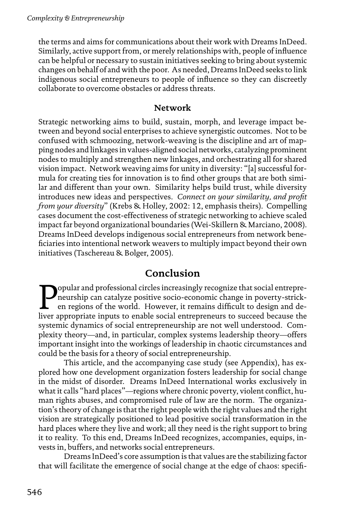the terms and aims for communications about their work with Dreams InDeed. Similarly, active support from, or merely relationships with, people of influence can be helpful or necessary to sustain initiatives seeking to bring about systemic changes on behalf of and with the poor. As needed, Dreams InDeed seeks to link indigenous social entrepreneurs to people of influence so they can discreetly collaborate to overcome obstacles or address threats.

#### **Network**

Strategic networking aims to build, sustain, morph, and leverage impact between and beyond social enterprises to achieve synergistic outcomes. Not to be confused with schmoozing, network-weaving is the discipline and art of mapping nodes and linkages in values-aligned social networks, catalyzing prominent nodes to multiply and strengthen new linkages, and orchestrating all for shared vision impact. Network weaving aims for unity in diversity: "[a] successful formula for creating ties for innovation is to find other groups that are both similar and different than your own. Similarity helps build trust, while diversity introduces new ideas and perspectives. *Connect on your similarity, and profit from your diversity*" (Krebs & Holley, 2002: 12, emphasis theirs). Compelling cases document the cost-effectiveness of strategic networking to achieve scaled impact far beyond organizational boundaries (Wei-Skillern & Marciano, 2008). Dreams InDeed develops indigenous social entrepreneurs from network beneficiaries into intentional network weavers to multiply impact beyond their own initiatives (Taschereau & Bolger, 2005).

## **Conclusion**

**Popular and professional circles increasingly recognize that social entrepre-**<br>
en regions of the world. However, it remains difficult to design and de-<br>
liver appropriate inputs to enable social entrepreneurs to succeed neurship can catalyze positive socio-economic change in poverty-stricken regions of the world. However, it remains difficult to design and deliver appropriate inputs to enable social entrepreneurs to succeed because the systemic dynamics of social entrepreneurship are not well understood. Complexity theory—and, in particular, complex systems leadership theory—offers important insight into the workings of leadership in chaotic circumstances and could be the basis for a theory of social entrepreneurship.

This article, and the accompanying case study (see Appendix), has explored how one development organization fosters leadership for social change in the midst of disorder. Dreams InDeed International works exclusively in what it calls "hard places"—regions where chronic poverty, violent conflict, human rights abuses, and compromised rule of law are the norm. The organization's theory of change is that the right people with the right values and the right vision are strategically positioned to lead positive social transformation in the hard places where they live and work; all they need is the right support to bring it to reality. To this end, Dreams InDeed recognizes, accompanies, equips, invests in, buffers, and networks social entrepreneurs.

Dreams InDeed's core assumption is that values are the stabilizing factor that will facilitate the emergence of social change at the edge of chaos: specifi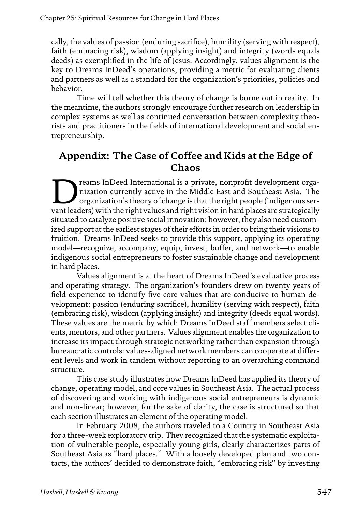cally, the values of passion (enduring sacrifice), humility (serving with respect), faith (embracing risk), wisdom (applying insight) and integrity (words equals deeds) as exemplified in the life of Jesus. Accordingly, values alignment is the key to Dreams InDeed's operations, providing a metric for evaluating clients and partners as well as a standard for the organization's priorities, policies and behavior.

Time will tell whether this theory of change is borne out in reality. In the meantime, the authors strongly encourage further research on leadership in complex systems as well as continued conversation between complexity theorists and practitioners in the fields of international development and social entrepreneurship.

## **Appendix: The Case of Coffee and Kids at the Edge of Chaos**

The reams InDeed International is a private, nonprofit development organization currently active in the Middle East and Southeast Asia. The organization's theory of change is that the right people (indigenous servant leade nization currently active in the Middle East and Southeast Asia. The organization's theory of change is that the right people (indigenous servant leaders) with the right values and right vision in hard places are strategically situated to catalyze positive social innovation; however, they also need customized support at the earliest stages of their efforts in order to bring their visions to fruition. Dreams InDeed seeks to provide this support, applying its operating model—recognize, accompany, equip, invest, buffer, and network—to enable indigenous social entrepreneurs to foster sustainable change and development in hard places.

Values alignment is at the heart of Dreams InDeed's evaluative process and operating strategy. The organization's founders drew on twenty years of field experience to identify five core values that are conducive to human development: passion (enduring sacrifice), humility (serving with respect), faith (embracing risk), wisdom (applying insight) and integrity (deeds equal words). These values are the metric by which Dreams InDeed staff members select clients, mentors, and other partners. Values alignment enables the organization to increase its impact through strategic networking rather than expansion through bureaucratic controls: values-aligned network members can cooperate at different levels and work in tandem without reporting to an overarching command structure.

This case study illustrates how Dreams InDeed has applied its theory of change, operating model, and core values in Southeast Asia. The actual process of discovering and working with indigenous social entrepreneurs is dynamic and non-linear; however, for the sake of clarity, the case is structured so that each section illustrates an element of the operating model.

In February 2008, the authors traveled to a Country in Southeast Asia for a three-week exploratory trip. They recognized that the systematic exploitation of vulnerable people, especially young girls, clearly characterizes parts of Southeast Asia as "hard places." With a loosely developed plan and two contacts, the authors' decided to demonstrate faith, "embracing risk" by investing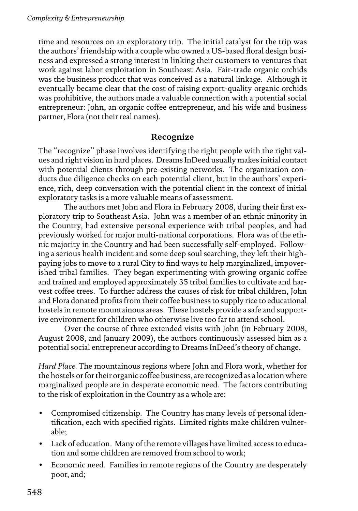time and resources on an exploratory trip. The initial catalyst for the trip was the authors' friendship with a couple who owned a US-based floral design business and expressed a strong interest in linking their customers to ventures that work against labor exploitation in Southeast Asia. Fair-trade organic orchids was the business product that was conceived as a natural linkage. Although it eventually became clear that the cost of raising export-quality organic orchids was prohibitive, the authors made a valuable connection with a potential social entrepreneur: John, an organic coffee entrepreneur, and his wife and business partner, Flora (not their real names).

#### **Recognize**

The "recognize" phase involves identifying the right people with the right values and right vision in hard places. Dreams InDeed usually makes initial contact with potential clients through pre-existing networks. The organization conducts due diligence checks on each potential client, but in the authors' experience, rich, deep conversation with the potential client in the context of initial exploratory tasks is a more valuable means of assessment.

The authors met John and Flora in February 2008, during their first exploratory trip to Southeast Asia. John was a member of an ethnic minority in the Country, had extensive personal experience with tribal peoples, and had previously worked for major multi-national corporations. Flora was of the ethnic majority in the Country and had been successfully self-employed. Following a serious health incident and some deep soul searching, they left their highpaying jobs to move to a rural City to find ways to help marginalized, impoverished tribal families. They began experimenting with growing organic coffee and trained and employed approximately 35 tribal families to cultivate and harvest coffee trees. To further address the causes of risk for tribal children, John and Flora donated profits from their coffee business to supply rice to educational hostels in remote mountainous areas. These hostels provide a safe and supportive environment for children who otherwise live too far to attend school.

Over the course of three extended visits with John (in February 2008, August 2008, and January 2009), the authors continuously assessed him as a potential social entrepreneur according to Dreams InDeed's theory of change.

*Hard Place.* The mountainous regions where John and Flora work, whether for the hostels or for their organic coffee business, are recognized as a location where marginalized people are in desperate economic need. The factors contributing to the risk of exploitation in the Country as a whole are:

- Compromised citizenship. The Country has many levels of personal identification, each with specified rights. Limited rights make children vulnerable;
- Lack of education. Many of the remote villages have limited access to education and some children are removed from school to work;
- Economic need. Families in remote regions of the Country are desperately poor, and;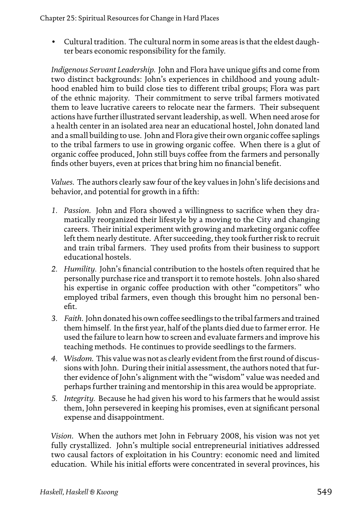• Cultural tradition. The cultural norm in some areas is that the eldest daughter bears economic responsibility for the family.

*Indigenous Servant Leadership.* John and Flora have unique gifts and come from two distinct backgrounds: John's experiences in childhood and young adulthood enabled him to build close ties to different tribal groups; Flora was part of the ethnic majority. Their commitment to serve tribal farmers motivated them to leave lucrative careers to relocate near the farmers. Their subsequent actions have further illustrated servant leadership, as well. When need arose for a health center in an isolated area near an educational hostel, John donated land and a small building to use. John and Flora give their own organic coffee saplings to the tribal farmers to use in growing organic coffee. When there is a glut of organic coffee produced, John still buys coffee from the farmers and personally finds other buyers, even at prices that bring him no financial benefit.

*Values*. The authors clearly saw four of the key values in John's life decisions and behavior, and potential for growth in a fifth:

- *1. Passion*. John and Flora showed a willingness to sacrifice when they dramatically reorganized their lifestyle by a moving to the City and changing careers. Their initial experiment with growing and marketing organic coffee left them nearly destitute. After succeeding, they took further risk to recruit and train tribal farmers. They used profits from their business to support educational hostels.
- *2. Humility.* John's financial contribution to the hostels often required that he personally purchase rice and transport it to remote hostels. John also shared his expertise in organic coffee production with other "competitors" who employed tribal farmers, even though this brought him no personal benefit.
- *3. Faith*. John donated his own coffee seedlings to the tribal farmers and trained them himself. In the first year, half of the plants died due to farmer error. He used the failure to learn how to screen and evaluate farmers and improve his teaching methods. He continues to provide seedlings to the farmers.
- *4. Wisdom*. This value was not as clearly evident from the first round of discussions with John. During their initial assessment, the authors noted that further evidence of John's alignment with the "wisdom" value was needed and perhaps further training and mentorship in this area would be appropriate.
- *5. Integrity.* Because he had given his word to his farmers that he would assist them, John persevered in keeping his promises, even at significant personal expense and disappointment.

*Vision*. When the authors met John in February 2008, his vision was not yet fully crystallized. John's multiple social entrepreneurial initiatives addressed two causal factors of exploitation in his Country: economic need and limited education. While his initial efforts were concentrated in several provinces, his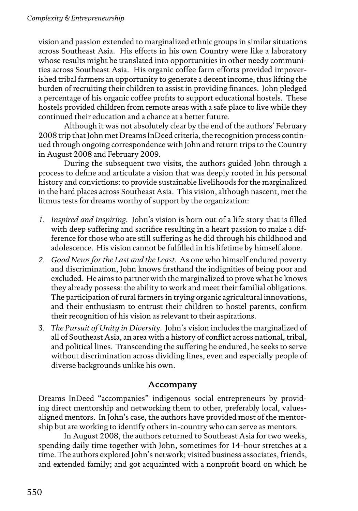vision and passion extended to marginalized ethnic groups in similar situations across Southeast Asia. His efforts in his own Country were like a laboratory whose results might be translated into opportunities in other needy communities across Southeast Asia. His organic coffee farm efforts provided impoverished tribal farmers an opportunity to generate a decent income, thus lifting the burden of recruiting their children to assist in providing finances. John pledged a percentage of his organic coffee profits to support educational hostels. These hostels provided children from remote areas with a safe place to live while they continued their education and a chance at a better future.

Although it was not absolutely clear by the end of the authors' February 2008 trip that John met Dreams InDeed criteria, the recognition process continued through ongoing correspondence with John and return trips to the Country in August 2008 and February 2009.

During the subsequent two visits, the authors guided John through a process to define and articulate a vision that was deeply rooted in his personal history and convictions: to provide sustainable livelihoods for the marginalized in the hard places across Southeast Asia. This vision, although nascent, met the litmus tests for dreams worthy of support by the organization:

- *1. Inspired and Inspiring*. John's vision is born out of a life story that is filled with deep suffering and sacrifice resulting in a heart passion to make a difference for those who are still suffering as he did through his childhood and adolescence. His vision cannot be fulfilled in his lifetime by himself alone.
- *2. Good News for the Last and the Least*. As one who himself endured poverty and discrimination, John knows firsthand the indignities of being poor and excluded. He aims to partner with the marginalized to prove what he knows they already possess: the ability to work and meet their familial obligations. The participation of rural farmers in trying organic agricultural innovations, and their enthusiasm to entrust their children to hostel parents, confirm their recognition of his vision as relevant to their aspirations.
- *3. The Pursuit of Unity in Diversit*y. John's vision includes the marginalized of all of Southeast Asia, an area with a history of conflict across national, tribal, and political lines. Transcending the suffering he endured, he seeks to serve without discrimination across dividing lines, even and especially people of diverse backgrounds unlike his own.

### **Accompany**

Dreams InDeed "accompanies" indigenous social entrepreneurs by providing direct mentorship and networking them to other, preferably local, valuesaligned mentors. In John's case, the authors have provided most of the mentorship but are working to identify others in-country who can serve as mentors.

In August 2008, the authors returned to Southeast Asia for two weeks, spending daily time together with John, sometimes for 14-hour stretches at a time. The authors explored John's network; visited business associates, friends, and extended family; and got acquainted with a nonprofit board on which he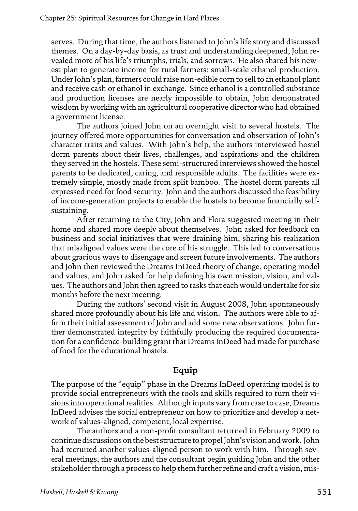serves. During that time, the authors listened to John's life story and discussed themes. On a day-by-day basis, as trust and understanding deepened, John revealed more of his life's triumphs, trials, and sorrows. He also shared his newest plan to generate income for rural farmers: small-scale ethanol production. Under John's plan, farmers could raise non-edible corn to sell to an ethanol plant and receive cash or ethanol in exchange. Since ethanol is a controlled substance and production licenses are nearly impossible to obtain, John demonstrated wisdom by working with an agricultural cooperative director who had obtained a government license.

The authors joined John on an overnight visit to several hostels. The journey offered more opportunities for conversation and observation of John's character traits and values. With John's help, the authors interviewed hostel dorm parents about their lives, challenges, and aspirations and the children they served in the hostels. These semi-structured interviews showed the hostel parents to be dedicated, caring, and responsible adults. The facilities were extremely simple, mostly made from split bamboo. The hostel dorm parents all expressed need for food security. John and the authors discussed the feasibility of income-generation projects to enable the hostels to become financially selfsustaining.

After returning to the City, John and Flora suggested meeting in their home and shared more deeply about themselves. John asked for feedback on business and social initiatives that were draining him, sharing his realization that misaligned values were the core of his struggle. This led to conversations about gracious ways to disengage and screen future involvements. The authors and John then reviewed the Dreams InDeed theory of change, operating model and values, and John asked for help defining his own mission, vision, and values. The authors and John then agreed to tasks that each would undertake for six months before the next meeting.

During the authors' second visit in August 2008, John spontaneously shared more profoundly about his life and vision. The authors were able to affirm their initial assessment of John and add some new observations. John further demonstrated integrity by faithfully producing the required documentation for a confidence-building grant that Dreams InDeed had made for purchase of food for the educational hostels.

#### **Equip**

The purpose of the "equip" phase in the Dreams InDeed operating model is to provide social entrepreneurs with the tools and skills required to turn their visions into operational realities. Although inputs vary from case to case, Dreams InDeed advises the social entrepreneur on how to prioritize and develop a network of values-aligned, competent, local expertise.

The authors and a non-profit consultant returned in February 2009 to continue discussions on the best structure to propel John's vision and work. John had recruited another values-aligned person to work with him. Through several meetings, the authors and the consultant begin guiding John and the other stakeholder through a process to help them further refine and craft a vision, mis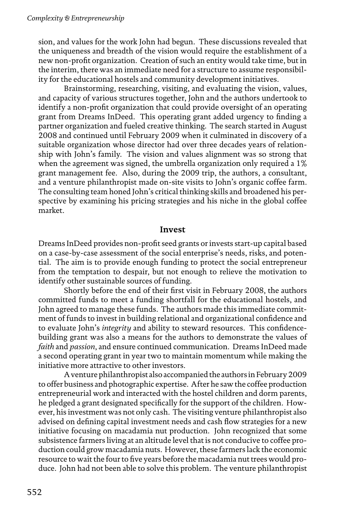sion, and values for the work John had begun. These discussions revealed that the uniqueness and breadth of the vision would require the establishment of a new non-profit organization. Creation of such an entity would take time, but in the interim, there was an immediate need for a structure to assume responsibility for the educational hostels and community development initiatives.

Brainstorming, researching, visiting, and evaluating the vision, values, and capacity of various structures together, John and the authors undertook to identify a non-profit organization that could provide oversight of an operating grant from Dreams InDeed. This operating grant added urgency to finding a partner organization and fueled creative thinking. The search started in August 2008 and continued until February 2009 when it culminated in discovery of a suitable organization whose director had over three decades years of relationship with John's family. The vision and values alignment was so strong that when the agreement was signed, the umbrella organization only required a 1% grant management fee. Also, during the 2009 trip, the authors, a consultant, and a venture philanthropist made on-site visits to John's organic coffee farm. The consulting team honed John's critical thinking skills and broadened his perspective by examining his pricing strategies and his niche in the global coffee market.

#### **Invest**

Dreams InDeed provides non-profit seed grants or invests start-up capital based on a case-by-case assessment of the social enterprise's needs, risks, and potential. The aim is to provide enough funding to protect the social entrepreneur from the temptation to despair, but not enough to relieve the motivation to identify other sustainable sources of funding.

Shortly before the end of their first visit in February 2008, the authors committed funds to meet a funding shortfall for the educational hostels, and John agreed to manage these funds. The authors made this immediate commitment of funds to invest in building relational and organizational confidence and to evaluate John's *integrity* and ability to steward resources. This confidencebuilding grant was also a means for the authors to demonstrate the values of *faith* and *passion*, and ensure continued communication. Dreams InDeed made a second operating grant in year two to maintain momentum while making the initiative more attractive to other investors.

A venture philanthropist also accompanied the authors in February 2009 to offer business and photographic expertise. After he saw the coffee production entrepreneurial work and interacted with the hostel children and dorm parents, he pledged a grant designated specifically for the support of the children. However, his investment was not only cash. The visiting venture philanthropist also advised on defining capital investment needs and cash flow strategies for a new initiative focusing on macadamia nut production. John recognized that some subsistence farmers living at an altitude level that is not conducive to coffee production could grow macadamia nuts. However, these farmers lack the economic resource to wait the four to five years before the macadamia nut trees would produce. John had not been able to solve this problem. The venture philanthropist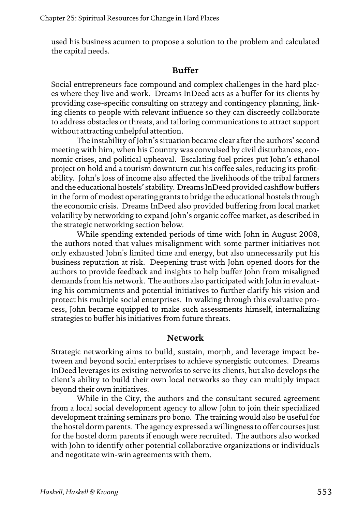used his business acumen to propose a solution to the problem and calculated the capital needs.

#### **Buffer**

Social entrepreneurs face compound and complex challenges in the hard places where they live and work. Dreams InDeed acts as a buffer for its clients by providing case-specific consulting on strategy and contingency planning, linking clients to people with relevant influence so they can discreetly collaborate to address obstacles or threats, and tailoring communications to attract support without attracting unhelpful attention.

The instability of John's situation became clear after the authors' second meeting with him, when his Country was convulsed by civil disturbances, economic crises, and political upheaval. Escalating fuel prices put John's ethanol project on hold and a tourism downturn cut his coffee sales, reducing its profitability. John's loss of income also affected the livelihoods of the tribal farmers and the educational hostels' stability. Dreams InDeed provided cashflow buffers in the form of modest operating grants to bridge the educational hostels through the economic crisis. Dreams InDeed also provided buffering from local market volatility by networking to expand John's organic coffee market, as described in the strategic networking section below.

While spending extended periods of time with John in August 2008, the authors noted that values misalignment with some partner initiatives not only exhausted John's limited time and energy, but also unnecessarily put his business reputation at risk. Deepening trust with John opened doors for the authors to provide feedback and insights to help buffer John from misaligned demands from his network. The authors also participated with John in evaluating his commitments and potential initiatives to further clarify his vision and protect his multiple social enterprises. In walking through this evaluative process, John became equipped to make such assessments himself, internalizing strategies to buffer his initiatives from future threats.

#### **Network**

Strategic networking aims to build, sustain, morph, and leverage impact between and beyond social enterprises to achieve synergistic outcomes. Dreams InDeed leverages its existing networks to serve its clients, but also develops the client's ability to build their own local networks so they can multiply impact beyond their own initiatives.

While in the City, the authors and the consultant secured agreement from a local social development agency to allow John to join their specialized development training seminars pro bono. The training would also be useful for the hostel dorm parents. The agency expressed a willingness to offer courses just for the hostel dorm parents if enough were recruited. The authors also worked with John to identify other potential collaborative organizations or individuals and negotitate win-win agreements with them.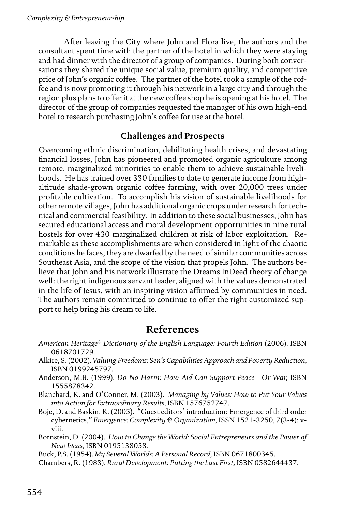After leaving the City where John and Flora live, the authors and the consultant spent time with the partner of the hotel in which they were staying and had dinner with the director of a group of companies. During both conversations they shared the unique social value, premium quality, and competitive price of John's organic coffee. The partner of the hotel took a sample of the coffee and is now promoting it through his network in a large city and through the region plus plans to offer it at the new coffee shop he is opening at his hotel. The director of the group of companies requested the manager of his own high-end hotel to research purchasing John's coffee for use at the hotel.

## **Challenges and Prospects**

Overcoming ethnic discrimination, debilitating health crises, and devastating financial losses, John has pioneered and promoted organic agriculture among remote, marginalized minorities to enable them to achieve sustainable livelihoods. He has trained over 330 families to date to generate income from highaltitude shade-grown organic coffee farming, with over 20,000 trees under profitable cultivation. To accomplish his vision of sustainable livelihoods for other remote villages, John has additional organic crops under research for technical and commercial feasibility. In addition to these social businesses, John has secured educational access and moral development opportunities in nine rural hostels for over 430 marginalized children at risk of labor exploitation. Remarkable as these accomplishments are when considered in light of the chaotic conditions he faces, they are dwarfed by the need of similar communities across Southeast Asia, and the scope of the vision that propels John. The authors believe that John and his network illustrate the Dreams InDeed theory of change well: the right indigenous servant leader, aligned with the values demonstrated in the life of Jesus, with an inspiring vision affirmed by communities in need. The authors remain committed to continue to offer the right customized support to help bring his dream to life.

## **References**

- *American Heritage® Dictionary of the English Language: Fourth Edition* (2006). ISBN 0618701729.
- Alkire, S. (2002). *Valuing Freedoms: Sen's Capabilities Approach and Poverty Reduction,*  ISBN 0199245797.
- Anderson, M.B. (1999). *Do No Harm: How Aid Can Support Peace—Or War,* ISBN 1555878342.
- Blanchard, K. and O'Conner, M. (2003). *Managing by Values: How to Put Your Values into Action for Extraordinary Results,* ISBN 1576752747.
- Boje, D. and Baskin, K. (2005). "Guest editors' introduction: Emergence of third order cybernetics," *Emergence: Complexity & Organization*, ISSN 1521-3250, 7(3-4): vviii.
- Bornstein, D. (2004). *How to Change the World: Social Entrepreneurs and the Power of New Ideas,* ISBN 0195138058.

Buck, P.S. (1954). *My Several Worlds: A Personal Record,* ISBN 0671800345.

Chambers, R. (1983). *Rural Development: Putting the Last First,* ISBN 0582644437.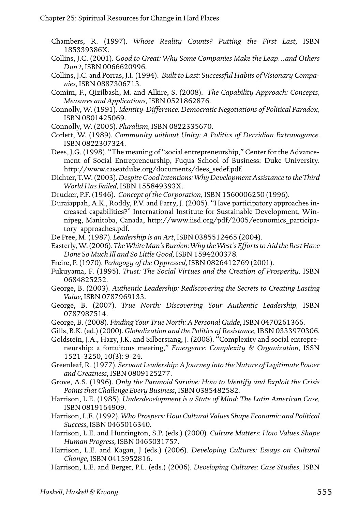- Chambers, R. (1997). *Whose Reality Counts? Putting the First Last,* ISBN 185339386X.
- Collins, J.C. (2001). *Good to Great: Why Some Companies Make the Leap…and Others Don't,* ISBN 0066620996.
- Collins, J.C. and Porras, J.I. (1994). *Built to Last: Successful Habits of Visionary Companies,* ISBN 0887306713.
- Comim, F., Qizilbash, M. and Alkire, S. (2008). *The Capability Approach: Concepts, Measures and Applications,* ISBN 0521862876.
- Connolly, W. (1991). *Identity-Difference: Democratic Negotiations of Political Paradox,*  ISBN 0801425069.
- Connolly, W. (2005). *Pluralism,* ISBN 0822335670.
- Corlett, W. (1989). *Community without Unity: A Politics of Derridian Extravagance.*  ISBN 0822307324.
- Dees, J.G. (1998). "The meaning of "social entrepreneurship," Center for the Advancement of Social Entrepreneurship, Fuqua School of Business: Duke University. http://www.caseatduke.org/documents/dees\_sedef.pdf.
- Dichter, T.W. (2003). *Despite Good Intentions: Why Development Assistance to the Third World Has Failed,* ISBN 155849393X.
- Drucker, P.F. (1946). *Concept of the Corporation*, ISBN 1560006250 (1996).
- Duraiappah, A.K., Roddy, P.V. and Parry, J. (2005). "Have participatory approaches increased capabilities?" International Institute for Sustainable Development, Winnipeg, Manitoba, Canada, http://www.iisd.org/pdf/2005/economics\_participatory\_approaches.pdf.
- De Pree, M. (1987). *Leadership is an Art*, ISBN 0385512465 (2004).
- Easterly, W. (2006). *The White Man's Burden: Why the West's Efforts to Aid the Rest Have Done So Much Ill and So Little Good,* ISBN 1594200378.
- Freire, P. (1970). *Pedagogy of the Oppressed,* ISBN 0826412769 (2001).
- Fukuyama, F. (1995). *Trust: The Social Virtues and the Creation of Prosperity,* ISBN 0684825252.
- George, B. (2003). *Authentic Leadership: Rediscovering the Secrets to Creating Lasting Value,* ISBN 0787969133.
- George, B. (2007). *True North: Discovering Your Authentic Leadership,* ISBN 0787987514.
- George, B. (2008). *Finding Your True North: A Personal Guide*, ISBN 0470261366.
- Gills, B.K. (ed.) (2000). *Globalization and the Politics of Resistance,* IBSN 0333970306.
- Goldstein, J.A., Hazy, J.K. and Silberstang, J. (2008). "Complexity and social entrepreneurship: a fortuitous meeting," *Emergence: Complexity & Organization*, ISSN 1521-3250, 10(3): 9-24.
- Greenleaf, R. (1977). *Servant Leadership: A Journey into the Nature of Legitimate Power and Greatness*, ISBN 0809125277.
- Grove, A.S. (1996). *Only the Paranoid Survive: How to Identify and Exploit the Crisis Points that Challenge Every Business*, ISBN 0385482582.
- Harrison, L.E. (1985). *Underdevelopment is a State of Mind: The Latin American Case,*  ISBN 0819164909.
- Harrison, L.E. (1992). *Who Prospers: How Cultural Values Shape Economic and Political Success*, ISBN 0465016340.
- Harrison, L.E. and Huntington, S.P. (eds.) (2000)*. Culture Matters: How Values Shape Human Progress,* ISBN 0465031757.
- Harrison, L.E. and Kagan, J (eds.) (2006). *Developing Cultures: Essays on Cultural Change,* ISBN 0415952816.
- Harrison, L.E. and Berger, P.L. (eds.) (2006). *Developing Cultures: Case Studies,* ISBN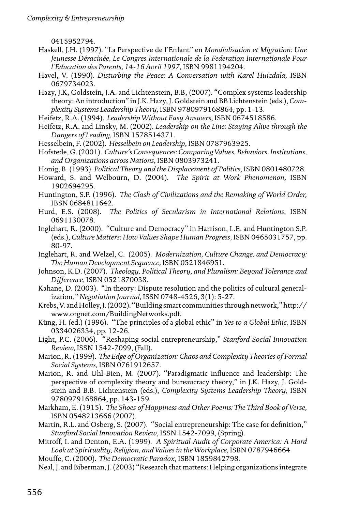0415952794.

- Haskell, J.H. (1997). "La Perspective de l'Enfant" en *Mondialisation et Migration: Une Jeunesse Déracinée, Le Congres Internationale de la Federation Internationale Pour l'Education des Parents, 14-16 Avril 1997,* ISBN 9981194204.
- Havel, V. (1990). *Disturbing the Peace: A Conversation with Karel Huizdala,* ISBN 0679734023.
- Hazy, J.K, Goldstein, J.A. and Lichtenstein, B.B, (2007). "Complex systems leadership theory: An introduction" in J.K. Hazy, J. Goldstein and BB Lichtenstein (eds.), *Complexity Systems Leadership Theory,* ISBN 9780979168864, pp. 1-13.
- Heifetz, R.A. (1994). *Leadership Without Easy Answers*, ISBN 0674518586.
- Heifetz, R.A. and Linsky, M. (2002). *Leadership on the Line: Staying Alive through the Dangers of Leading,* ISBN 1578514371.
- Hesselbein, F. (2002). *Hesselbein on Leadership*, ISBN 0787963925.
- Hofstede, G. (2001). *Culture's Consequences: Comparing Values, Behaviors, Institutions, and Organizations across Nations*, ISBN 0803973241.
- Honig, B. (1993). *Political Theory and the Displacement of Politics,* ISBN 0801480728.
- Howard, S. and Welbourn, D. (2004). *The Spirit at Work Phenomenon,* ISBN 1902694295.
- Huntington, S.P. (1996). *The Clash of Civilizations and the Remaking of World Order,*  IBSN 0684811642.
- Hurd, E.S. (2008). *The Politics of Secularism in International Relations*, ISBN 0691130078.
- Inglehart, R. (2000). "Culture and Democracy" in Harrison, L.E. and Huntington S.P. (eds.), *Culture Matters: How Values Shape Human Progress,* ISBN 0465031757, pp. 80-97.
- Inglehart, R. and Welzel, C. (2005). *Modernization, Culture Change, and Democracy: The Human Development Sequence,* ISBN 0521846951.
- Johnson, K.D. (2007). *Theology, Political Theory, and Pluralism: Beyond Tolerance and Difference*, ISBN 0521870038.
- Kahane, D. (2003). "In theory: Dispute resolution and the politics of cultural generalization," *Negotiation Journal,* ISSN 0748-4526, 3(1): 5-27.
- Krebs, V. and Holley, J. (2002). "Building smart communities through network," http:// www.orgnet.com/BuildingNetworks.pdf.
- Küng, H. (ed.) (1996). "The principles of a global ethic" in *Yes to a Global Ethic,* ISBN 0334026334, pp. 12-26.
- Light, P.C. (2006). "Reshaping social entrepreneurship," *Stanford Social Innovation Review,* ISSN 1542-7099, (Fall).
- Marion, R. (1999). *The Edge of Organization: Chaos and Complexity Theories of Formal Social Systems,* ISBN 0761912657.
- Marion, R. and Uhl-Bien, M. (2007). "Paradigmatic influence and leadership: The perspective of complexity theory and bureaucracy theory," in J.K. Hazy, J. Goldstein and B.B. Lichtenstein (eds.), *Complexity Systems Leadership Theory,* ISBN 9780979168864, pp. 143-159.
- Markham, E. (1915). *The Shoes of Happiness and Other Poems: The Third Book of Verse,*  ISBN 0548213666 (2007).
- Martin, R.L. and Osberg, S. (2007). "Social entrepreneurship: The case for definition," *Stanford Social Innovation Review*, ISSN 1542-7099, (Spring).
- Mitroff, I. and Denton, E.A. (1999). *A Spiritual Audit of Corporate America: A Hard*  Look at Spirituality, Religion, and Values in the Workplace, ISBN 0787946664

Mouffe, C. (2000). *The Democratic Paradox,* ISBN 1859842798.

Neal, J. and Biberman, J. (2003) "Research that matters: Helping organizations integrate